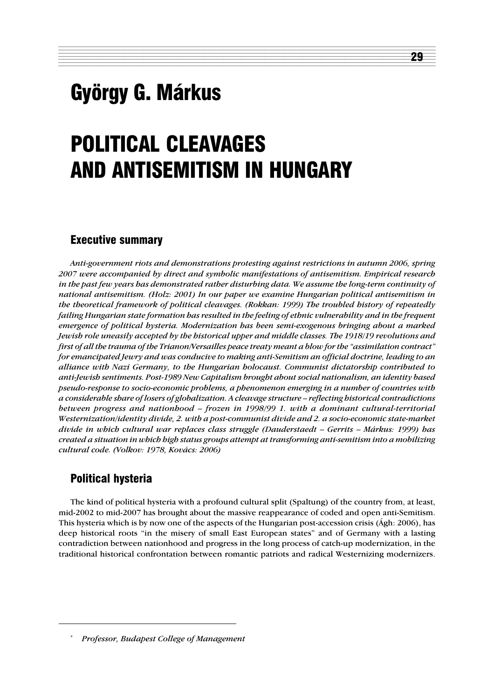# György G. Márkus

# POLITICAL CLEAVAGES AND ANTISEMITISM IN HUNGARY

12345678901234567890123456789012345678901234567890123456789012345678901234567890123456789012345678901234567890 12345678901234567890123456789012123456789012345678901234567890121234567890123456789012345678901212345678901234567890123 1 3

29

# Executive summary

*Anti-government riots and demonstrations protesting against restrictions in autumn 2006, spring 2007 were accompanied by direct and symbolic manifestations of antisemitism. Empirical research in the past few years has demonstrated rather disturbing data. We assume the long-term continuity of national antisemitism. (Holz: 2001) In our paper we examine Hungarian political antisemitism in the theoretical framework of political cleavages. (Rokkan: 1999) The troubled history of repeatedly failing Hungarian state formation has resulted in the feeling of ethnic vulnerability and in the frequent emergence of political hysteria. Modernization has been semi-exogenous bringing about a marked Jewish role uneasily accepted by the historical upper and middle classes. The 1918/19 revolutions and first of all the trauma of the Trianon/Versailles peace treaty meant a blow for the "assimilation contract" for emancipated Jewry and was conducive to making anti-Semitism an official doctrine, leading to an alliance with Nazi Germany, to the Hungarian holocaust. Communist dictatorship contributed to anti-Jewish sentiments. Post-1989 New Capitalism brought about social nationalism, an identity based pseudo-response to socio-economic problems, a phenomenon emerging in a number of countries with a considerable share of losers of globalization. A cleavage structure – reflecting historical contradictions between progress and nationhood – frozen in 1998/99 1. with a dominant cultural-territorial Westernization/identity divide, 2. with a post-communist divide and 2. a socio-economic state-market divide in which cultural war replaces class struggle (Dauderstaedt – Gerrits – Márkus: 1999) has created a situation in which high status groups attempt at transforming anti-semitism into a mobilizing cultural code. (Volkov: 1978, Kovács: 2006)*

# Political hysteria

The kind of political hysteria with a profound cultural split (Spaltung) of the country from, at least, mid-2002 to mid-2007 has brought about the massive reappearance of coded and open anti-Semitism. This hysteria which is by now one of the aspects of the Hungarian post-accession crisis (Ágh: 2006), has deep historical roots "in the misery of small East European states" and of Germany with a lasting contradiction between nationhood and progress in the long process of catch-up modernization, in the traditional historical confrontation between romantic patriots and radical Westernizing modernizers.

<sup>\*</sup> *Professor, Budapest College of Management*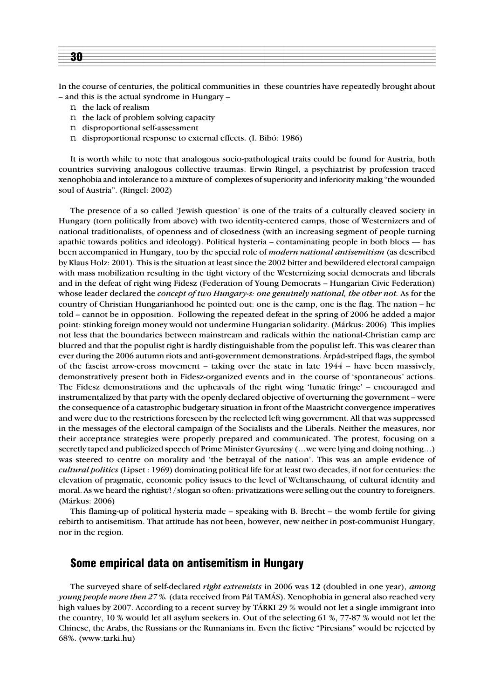In the course of centuries, the political communities in these countries have repeatedly brought about – and this is the actual syndrome in Hungary –

- n the lack of realism
- n the lack of problem solving capacity
- n disproportional self-assessment
- n disproportional response to external effects. (I. Bibó: 1986)

It is worth while to note that analogous socio-pathological traits could be found for Austria, both countries surviving analogous collective traumas. Erwin Ringel, a psychiatrist by profession traced xenophobia and intolerance to a mixture of complexes of superiority and inferiority making "the wounded soul of Austria". (Ringel: 2002)

The presence of a so called 'Jewish question' is one of the traits of a culturally cleaved society in Hungary (torn politically from above) with two identity-centered camps, those of Westernizers and of national traditionalists, of openness and of closedness (with an increasing segment of people turning apathic towards politics and ideology). Political hysteria – contaminating people in both blocs — has been accompanied in Hungary, too by the special role of *modern national antisemitism* (as described by Klaus Holz: 2001). This is the situation at least since the 2002 bitter and bewildered electoral campaign with mass mobilization resulting in the tight victory of the Westernizing social democrats and liberals and in the defeat of right wing Fidesz (Federation of Young Democrats – Hungarian Civic Federation) whose leader declared the *concept of two Hungary-s: one genuinely national, the other not.* As for the country of Christian Hungarianhood he pointed out: one is the camp, one is the flag. The nation – he told – cannot be in opposition. Following the repeated defeat in the spring of 2006 he added a major point: stinking foreign money would not undermine Hungarian solidarity. (Márkus: 2006) This implies not less that the boundaries between mainstream and radicals within the national-Christian camp are blurred and that the populist right is hardly distinguishable from the populist left. This was clearer than ever during the 2006 autumn riots and anti-government demonstrations. Árpád-striped flags, the symbol of the fascist arrow-cross movement – taking over the state in late 1944 – have been massively, demonstratively present both in Fidesz-organized events and in the course of 'spontaneous' actions. The Fidesz demonstrations and the upheavals of the right wing 'lunatic fringe' – encouraged and instrumentalized by that party with the openly declared objective of overturning the government – were the consequence of a catastrophic budgetary situation in front of the Maastricht convergence imperatives and were due to the restrictions foreseen by the reelected left wing government. All that was suppressed in the messages of the electoral campaign of the Socialists and the Liberals. Neither the measures, nor their acceptance strategies were properly prepared and communicated. The protest, focusing on a secretly taped and publicized speech of Prime Minister Gyurcsány (... we were lying and doing nothing...) was steered to centre on morality and 'the betrayal of the nation'. This was an ample evidence of *cultural politics* (Lipset : 1969) dominating political life for at least two decades, if not for centuries: the elevation of pragmatic, economic policy issues to the level of Weltanschaung, of cultural identity and moral. As we heard the rightist/! / slogan so often: privatizations were selling out the country to foreigners. (Márkus: 2006)

This flaming-up of political hysteria made – speaking with B. Brecht – the womb fertile for giving rebirth to antisemitism. That attitude has not been, however, new neither in post-communist Hungary, nor in the region.

#### Some empirical data on antisemitism in Hungary

The surveyed share of self-declared *right extremists* in 2006 was **12** (doubled in one year), *among young people more then 27 %.* (data received from Pál TAMÁS). Xenophobia in general also reached very high values by 2007. According to a recent survey by TÁRKI 29 % would not let a single immigrant into the country, 10 % would let all asylum seekers in. Out of the selecting 61 %, 77-87 % would not let the Chinese, the Arabs, the Russians or the Rumanians in. Even the fictive "Piresians" would be rejected by 68%. (www.tarki.hu)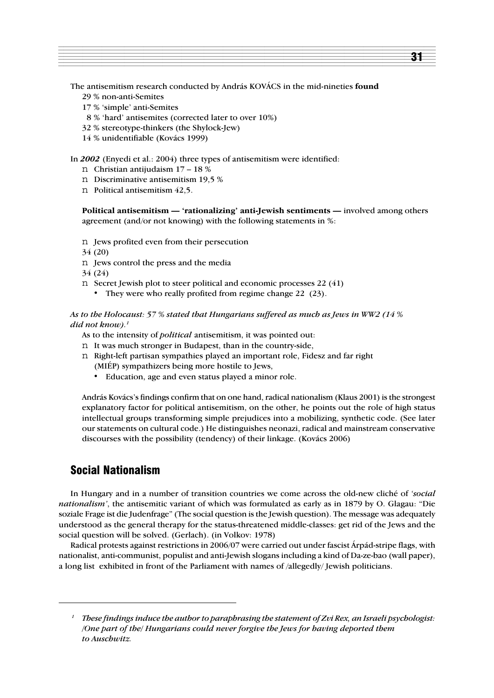The antisemitism research conducted by András KOVÁCS in the mid-nineties **found**

- 29 % non-anti-Semites
- 17 % 'simple' anti-Semites
- 8 % 'hard' antisemites (corrected later to over 10%)
- 32 % stereotype-thinkers (the Shylock-Jew)
- 14 % unidentifiable (Kovács 1999)

In *2002* (Enyedi et al.: 2004) three types of antisemitism were identified:

- n Christian antijudaism 17 18 %
- n Discriminative antisemitism 19,5 %
- n Political antisemitism 42,5.

**Political antisemitism — 'rationalizing' anti-Jewish sentiments —** involved among others agreement (and/or not knowing) with the following statements in %:

- n Jews profited even from their persecution
- 34 (20)
- n Jews control the press and the media
- 34 (24)
- n Secret Jewish plot to steer political and economic processes 22 (41)
	- They were who really profited from regime change 22 (23).

*As to the Holocaust: 57 % stated that Hungarians suffered as much as Jews in WW2 (14 % did not know).1*

- As to the intensity of *political* antisemitism, it was pointed out:
- n It was much stronger in Budapest, than in the country-side,
- n Right-left partisan sympathies played an important role, Fidesz and far right (MIÉP) sympathizers being more hostile to Jews,
	- Education, age and even status played a minor role.

András Kovács's findings confirm that on one hand, radical nationalism (Klaus 2001) is the strongest explanatory factor for political antisemitism, on the other, he points out the role of high status intellectual groups transforming simple prejudices into a mobilizing, synthetic code. (See later our statements on cultural code.) He distinguishes neonazi, radical and mainstream conservative discourses with the possibility (tendency) of their linkage. (Kovács 2006)

# Social Nationalism

In Hungary and in a number of transition countries we come across the old-new cliché of *'social nationalism'*, the antisemitic variant of which was formulated as early as in 1879 by O. Glagau: "Die soziale Frage ist die Judenfrage" (The social question is the Jewish question). The message was adequately understood as the general therapy for the status-threatened middle-classes: get rid of the Jews and the social question will be solved. (Gerlach). (in Volkov: 1978)

Radical protests against restrictions in 2006/07 were carried out under fascist Árpád-stripe flags, with nationalist, anti-communist, populist and anti-Jewish slogans including a kind of Da-ze-bao (wall paper), a long list exhibited in front of the Parliament with names of /allegedly/ Jewish politicians.

*<sup>1</sup> These findings induce the author to paraphrasing the statement of Zvi Rex, an Israeli psychologist: /One part of the/ Hungarians could never forgive the Jews for having deported them to Auschwitz.*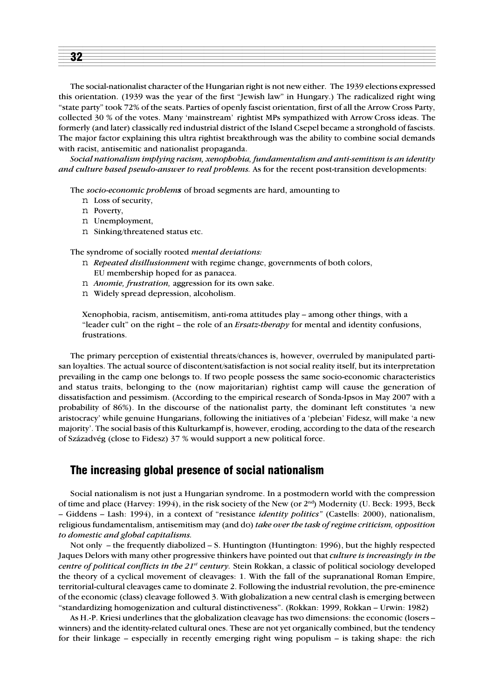| ______ |
|--------|
|        |
|        |
|        |
|        |
|        |
|        |
|        |
|        |
|        |
|        |
|        |
|        |

The social-nationalist character of the Hungarian right is not new either. The 1939 elections expressed this orientation. (1939 was the year of the first "Jewish law" in Hungary.) The radicalized right wing "state party" took 72% of the seats. Parties of openly fascist orientation, first of all the Arrow Cross Party, collected 30 % of the votes. Many 'mainstream' rightist MPs sympathized with Arrow Cross ideas. The formerly (and later) classically red industrial district of the Island Csepel became a stronghold of fascists. The major factor explaining this ultra rightist breakthrough was the ability to combine social demands with racist, antisemitic and nationalist propaganda.

*Social nationalism implying racism, xenophobia, fundamentalism and anti-semitism is an identity and culture based pseudo-answer to real problems.* As for the recent post-transition developments:

The *socio-economic problems* of broad segments are hard, amounting to

- n Loss of security,
- n Poverty,
- n Unemployment,
- n Sinking/threatened status etc.

The syndrome of socially rooted *mental deviations:*

- n *Repeated disillusionment* with regime change, governments of both colors, EU membership hoped for as panacea.
- n *Anomie, frustration,* aggression for its own sake.
- n Widely spread depression, alcoholism.

Xenophobia, racism, antisemitism, anti-roma attitudes play – among other things, with a "leader cult" on the right – the role of an *Ersatz-therapy* for mental and identity confusions, frustrations.

The primary perception of existential threats/chances is, however, overruled by manipulated partisan loyalties. The actual source of discontent/satisfaction is not social reality itself, but its interpretation prevailing in the camp one belongs to. If two people possess the same socio-economic characteristics and status traits, belonging to the (now majoritarian) rightist camp will cause the generation of dissatisfaction and pessimism. (According to the empirical research of Sonda-Ipsos in May 2007 with a probability of 86%). In the discourse of the nationalist party, the dominant left constitutes 'a new aristocracy' while genuine Hungarians, following the initiatives of a 'plebeian' Fidesz, will make 'a new majority'. The social basis of this Kulturkampf is, however, eroding, according to the data of the research of Századvég (close to Fidesz) 37 % would support a new political force.

#### The increasing global presence of social nationalism

Social nationalism is not just a Hungarian syndrome. In a postmodern world with the compression of time and place (Harvey: 1994), in the risk society of the New (or 2nd) Modernity (U. Beck: 1993, Beck – Giddens – Lash: 1994), in a context of "resistance *identity politics"* (Castells: 2000), nationalism, religious fundamentalism, antisemitism may (and do) *take over the task of regime criticism, opposition to domestic and global capitalisms.*

Not only – the frequently diabolized – S. Huntington (Huntington: 1996), but the highly respected Jaques Delors with many other progressive thinkers have pointed out that *culture is increasingly in the centre of political conflicts in the 21st century.* Stein Rokkan, a classic of political sociology developed the theory of a cyclical movement of cleavages: 1. With the fall of the supranational Roman Empire, territorial-cultural cleavages came to dominate 2. Following the industrial revolution, the pre-eminence of the economic (class) cleavage followed 3. With globalization a new central clash is emerging between "standardizing homogenization and cultural distinctiveness". (Rokkan: 1999, Rokkan – Urwin: 1982)

As H.-P. Kriesi underlines that the globalization cleavage has two dimensions: the economic (losers – winners) and the identity-related cultural ones. These are not yet organically combined, but the tendency for their linkage – especially in recently emerging right wing populism – is taking shape: the rich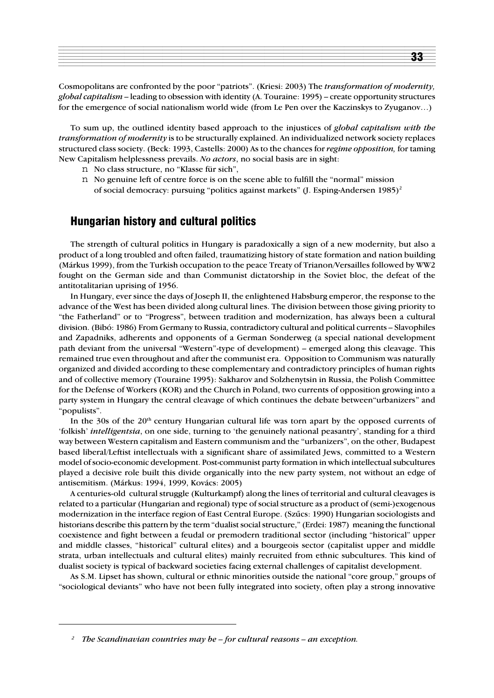| ___________ |  |  |     |
|-------------|--|--|-----|
|             |  |  |     |
|             |  |  | - - |
|             |  |  |     |
|             |  |  |     |
|             |  |  |     |

Cosmopolitans are confronted by the poor "patriots". (Kriesi: 2003) The *transformation of modernity, global capitalism* – leading to obsession with identity (A. Touraine: 1995) – create opportunity structures for the emergence of social nationalism world wide (from Le Pen over the Kaczinskys to Zyuganov…)

To sum up, the outlined identity based approach to the injustices of *global capitalism with the transformation of modernity* is to be structurally explained. An individualized network society replaces structured class society. (Beck: 1993, Castells: 2000) As to the chances for *regime opposition,* for taming New Capitalism helplessness prevails. *No actors*, no social basis are in sight:

- n No class structure, no "Klasse für sich",
- n No genuine left of centre force is on the scene able to fulfill the "normal" mission of social democracy: pursuing "politics against markets" (J. Esping-Andersen  $1985$ )<sup>2</sup>

#### Hungarian history and cultural politics

The strength of cultural politics in Hungary is paradoxically a sign of a new modernity, but also a product of a long troubled and often failed, traumatizing history of state formation and nation building (Márkus 1999), from the Turkish occupation to the peace Treaty of Trianon/Versailles followed by WW2 fought on the German side and than Communist dictatorship in the Soviet bloc, the defeat of the antitotalitarian uprising of 1956.

In Hungary, ever since the days of Joseph II, the enlightened Habsburg emperor, the response to the advance of the West has been divided along cultural lines. The division between those giving priority to "the Fatherland" or to "Progress", between tradition and modernization, has always been a cultural division. (Bibó: 1986) From Germany to Russia, contradictory cultural and political currents – Slavophiles and Zapadniks, adherents and opponents of a German Sonderweg (a special national development path deviant from the universal "Western"-type of development) – emerged along this cleavage. This remained true even throughout and after the communist era. Opposition to Communism was naturally organized and divided according to these complementary and contradictory principles of human rights and of collective memory (Touraine 1995): Sakharov and Solzhenytsin in Russia, the Polish Committee for the Defense of Workers (KOR) and the Church in Poland, two currents of opposition growing into a party system in Hungary the central cleavage of which continues the debate between"urbanizers" and "populists".

In the 30s of the 20<sup>th</sup> century Hungarian cultural life was torn apart by the opposed currents of 'folkish' *intelligentsia*, on one side, turning to 'the genuinely national peasantry', standing for a third way between Western capitalism and Eastern communism and the "urbanizers", on the other, Budapest based liberal/Leftist intellectuals with a significant share of assimilated Jews, committed to a Western model of socio-economic development. Post-communist party formation in which intellectual subcultures played a decisive role built this divide organically into the new party system, not without an edge of antisemitism. (Márkus: 1994, 1999, Kovács: 2005)

A centuries-old cultural struggle (Kulturkampf) along the lines of territorial and cultural cleavages is related to a particular (Hungarian and regional) type of social structure as a product of (semi-)exogenous modernization in the interface region of East Central Europe. (Szûcs: 1990) Hungarian sociologists and historians describe this pattern by the term "dualist social structure," (Erdei: 1987) meaning the functional coexistence and fight between a feudal or premodern traditional sector (including "historical" upper and middle classes, "historical" cultural elites) and a bourgeois sector (capitalist upper and middle strata, urban intellectuals and cultural elites) mainly recruited from ethnic subcultures. This kind of dualist society is typical of backward societies facing external challenges of capitalist development.

As S.M. Lipset has shown, cultural or ethnic minorities outside the national "core group," groups of "sociological deviants" who have not been fully integrated into society, often play a strong innovative

*<sup>2</sup> The Scandinavian countries may be – for cultural reasons – an exception.*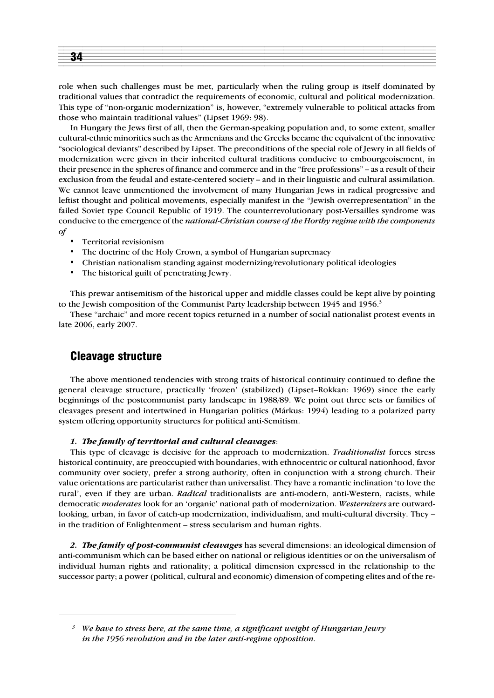

role when such challenges must be met, particularly when the ruling group is itself dominated by traditional values that contradict the requirements of economic, cultural and political modernization. This type of "non-organic modernization" is, however, "extremely vulnerable to political attacks from those who maintain traditional values" (Lipset 1969: 98).

In Hungary the Jews first of all, then the German-speaking population and, to some extent, smaller cultural-ethnic minorities such as the Armenians and the Greeks became the equivalent of the innovative "sociological deviants" described by Lipset. The preconditions of the special role of Jewry in all fields of modernization were given in their inherited cultural traditions conducive to embourgeoisement, in their presence in the spheres of finance and commerce and in the "free professions" – as a result of their exclusion from the feudal and estate-centered society – and in their linguistic and cultural assimilation. We cannot leave unmentioned the involvement of many Hungarian Jews in radical progressive and leftist thought and political movements, especially manifest in the "Jewish overrepresentation" in the failed Soviet type Council Republic of 1919. The counterrevolutionary post-Versailles syndrome was conducive to the emergence of the *national-Christian course of the Horthy regime with the components of*

- Territorial revisionism
- The doctrine of the Holy Crown, a symbol of Hungarian supremacy
- Christian nationalism standing against modernizing/revolutionary political ideologies
- The historical guilt of penetrating Jewry.

This prewar antisemitism of the historical upper and middle classes could be kept alive by pointing to the Jewish composition of the Communist Party leadership between 1945 and 1956.<sup>3</sup>

These "archaic" and more recent topics returned in a number of social nationalist protest events in late 2006, early 2007.

# Cleavage structure

The above mentioned tendencies with strong traits of historical continuity continued to define the general cleavage structure, practically 'frozen' (stabilized) (Lipset–Rokkan: 1969) since the early beginnings of the postcommunist party landscape in 1988/89. We point out three sets or families of cleavages present and intertwined in Hungarian politics (Márkus: 1994) leading to a polarized party system offering opportunity structures for political anti-Semitism.

#### *1. The family of territorial and cultural cleavages*:

This type of cleavage is decisive for the approach to modernization. *Traditionalist* forces stress historical continuity, are preoccupied with boundaries, with ethnocentric or cultural nationhood, favor community over society, prefer a strong authority, often in conjunction with a strong church. Their value orientations are particularist rather than universalist. They have a romantic inclination 'to love the rural', even if they are urban. *Radical* traditionalists are anti-modern, anti-Western, racists, while democratic *moderates* look for an 'organic' national path of modernization. *Westernizers* are outwardlooking, urban, in favor of catch-up modernization, individualism, and multi-cultural diversity. They – in the tradition of Enlightenment – stress secularism and human rights.

*2. The family of post-communist cleavages* has several dimensions: an ideological dimension of anti-communism which can be based either on national or religious identities or on the universalism of individual human rights and rationality; a political dimension expressed in the relationship to the successor party; a power (political, cultural and economic) dimension of competing elites and of the re-

*<sup>3</sup> We have to stress here, at the same time, a significant weight of Hungarian Jewry in the 1956 revolution and in the later anti-regime opposition.*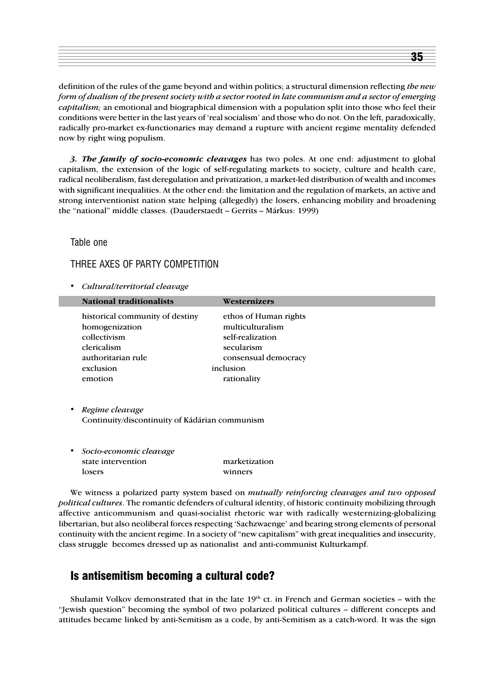definition of the rules of the game beyond and within politics; a structural dimension reflecting *the new form of dualism of the present society with a sector rooted in late communism and a sector of emerging capitalism;* an emotional and biographical dimension with a population split into those who feel their conditions were better in the last years of 'real socialism' and those who do not. On the left, paradoxically, radically pro-market ex-functionaries may demand a rupture with ancient regime mentality defended now by right wing populism.

*3. The family of socio-economic cleavages* has two poles. At one end: adjustment to global capitalism, the extension of the logic of self-regulating markets to society, culture and health care, radical neoliberalism, fast deregulation and privatization, a market-led distribution of wealth and incomes with significant inequalities. At the other end: the limitation and the regulation of markets, an active and strong interventionist nation state helping (allegedly) the losers, enhancing mobility and broadening the "national" middle classes. (Dauderstaedt – Gerrits – Márkus: 1999)

Table one

THREE AXES OF PARTY COMPETITION

*• Cultural/territorial cleavage*

| historical community of destiny<br>ethos of Human rights<br>multiculturalism<br>homogenization<br>collectivism<br>self-realization | <b>National traditionalists</b> | Westernizers |
|------------------------------------------------------------------------------------------------------------------------------------|---------------------------------|--------------|
| clericalism<br>secularism<br>authoritarian rule<br>consensual democracy<br>inclusion<br>exclusion<br>rationality<br>emotion        |                                 |              |

- *• Regime cleavage* Continuity/discontinuity of Kádárian communism
- *Socio-economic cleavage* state intervention marketization losers winners

We witness a polarized party system based on *mutually reinforcing cleavages and two opposed political cultures*. The romantic defenders of cultural identity, of historic continuity mobilizing through affective anticommunism and quasi-socialist rhetoric war with radically westernizing-globalizing libertarian, but also neoliberal forces respecting 'Sachzwaenge' and bearing strong elements of personal continuity with the ancient regime. In a society of "new capitalism" with great inequalities and insecurity, class struggle becomes dressed up as nationalist and anti-communist Kulturkampf.

# Is antisemitism becoming a cultural code?

Shulamit Volkov demonstrated that in the late  $19<sup>th</sup>$  ct. in French and German societies – with the "Jewish question" becoming the symbol of two polarized political cultures – different concepts and attitudes became linked by anti-Semitism as a code, by anti-Semitism as a catch-word. It was the sign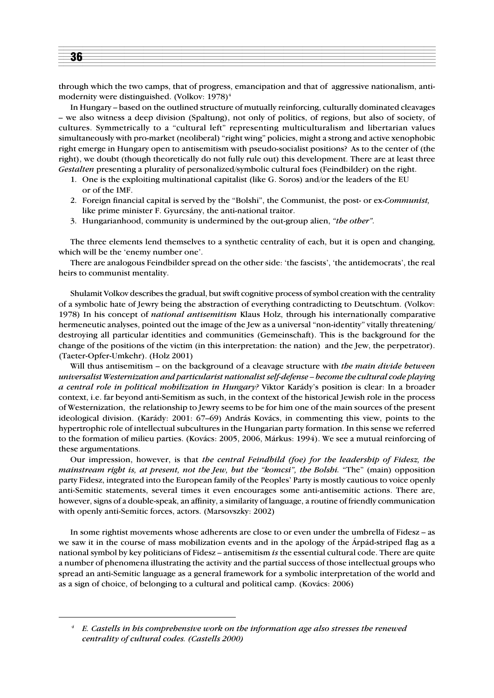

through which the two camps, that of progress, emancipation and that of aggressive nationalism, antimodernity were distinguished. (Volkov:  $1978$ )<sup>4</sup>

In Hungary – based on the outlined structure of mutually reinforcing, culturally dominated cleavages – we also witness a deep division (Spaltung), not only of politics, of regions, but also of society, of cultures. Symmetrically to a "cultural left" representing multiculturalism and libertarian values simultaneously with pro-market (neoliberal) "right wing" policies, might a strong and active xenophobic right emerge in Hungary open to antisemitism with pseudo-socialist positions? As to the center of (the right), we doubt (though theoretically do not fully rule out) this development. There are at least three *Gestalten* presenting a plurality of personalized/symbolic cultural foes (Feindbilder) on the right.

- 1. One is the exploiting multinational capitalist (like G. Soros) and/or the leaders of the EU or of the IMF.
- 2. Foreign financial capital is served by the "Bolshi", the Communist, the post- or ex-*Communist,* like prime minister F. Gyurcsány, the anti-national traitor.
- 3. Hungarianhood, community is undermined by the out-group alien, *"the other".*

The three elements lend themselves to a synthetic centrality of each, but it is open and changing, which will be the 'enemy number one'.

There are analogous Feindbilder spread on the other side: 'the fascists', 'the antidemocrats', the real heirs to communist mentality.

Shulamit Volkov describes the gradual, but swift cognitive process of symbol creation with the centrality of a symbolic hate of Jewry being the abstraction of everything contradicting to Deutschtum. (Volkov: 1978) In his concept of *national antisemitism* Klaus Holz, through his internationally comparative hermeneutic analyses, pointed out the image of the Jew as a universal "non-identity" vitally threatening/ destroying all particular identities and communities (Gemeinschaft). This is the background for the change of the positions of the victim (in this interpretation: the nation) and the Jew, the perpetrator). (Taeter-Opfer-Umkehr). (Holz 2001)

Will thus antisemitism – on the background of a cleavage structure with *the main divide between universalist Westernization and particularist nationalist self-defense – become the cultural code playing a central role in political mobilization in Hungary?* Viktor Karády's position is clear: In a broader context, i.e. far beyond anti-Semitism as such, in the context of the historical Jewish role in the process of Westernization, the relationship to Jewry seems to be for him one of the main sources of the present ideological division. (Karády: 2001: 67–69) András Kovács, in commenting this view, points to the hypertrophic role of intellectual subcultures in the Hungarian party formation. In this sense we referred to the formation of milieu parties. (Kovács: 2005, 2006, Márkus: 1994). We see a mutual reinforcing of these argumentations.

Our impression, however, is that *the central Feindbild (foe) for the leadership of Fidesz, the mainstream right is, at present, not the Jew, but the "komcsi", the Bolshi.* "The" (main) opposition party Fidesz, integrated into the European family of the Peoples' Party is mostly cautious to voice openly anti-Semitic statements, several times it even encourages some anti-antisemitic actions. There are, however, signs of a double-speak, an affinity, a similarity of language, a routine of friendly communication with openly anti-Semitic forces, actors. (Marsovszky: 2002)

In some rightist movements whose adherents are close to or even under the umbrella of Fidesz – as we saw it in the course of mass mobilization events and in the apology of the Árpád-striped flag as a national symbol by key politicians of Fidesz – antisemitism *is* the essential cultural code. There are quite a number of phenomena illustrating the activity and the partial success of those intellectual groups who spread an anti-Semitic language as a general framework for a symbolic interpretation of the world and as a sign of choice, of belonging to a cultural and political camp. (Kovács: 2006)

*<sup>4</sup> E. Castells in his comprehensive work on the information age also stresses the renewed centrality of cultural codes. (Castells 2000)*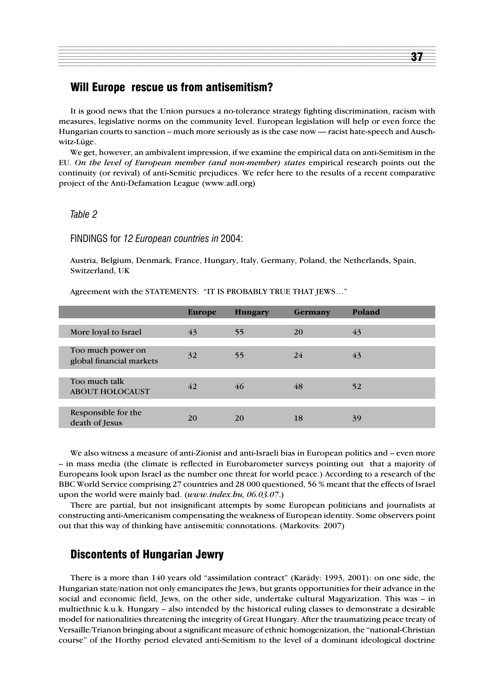### Will Europe rescue us from antisemitism?

It is good news that the Union pursues a no-tolerance strategy fighting discrimination, racism with measures, legislative norms on the community level. European legislation will help or even force the Hungarian courts to sanction – much more seriously as is the case now — racist hate-speech and Auschwitz-Lüge.

We get, however, an ambivalent impression, if we examine the empirical data on anti-Semitism in the EU. *On the level of European member (and non-member) states* empirical research points out the continuity (or revival) of anti-Semitic prejudices. We refer here to the results of a recent comparative project of the Anti-Defamation League (www.adl.org)

#### *Table 2*

FINDINGS for *12 European countries in* 2004:

Austria, Belgium, Denmark, France, Hungary, Italy, Germany, Poland, the Netherlands, Spain, Switzerland, UK

Agreement with the STATEMENTS: "IT IS PROBABLY TRUE THAT JEWS…"

|                                               | Europe | <b>Hungary</b> | <b>Germany</b> | Poland |
|-----------------------------------------------|--------|----------------|----------------|--------|
| More loyal to Israel                          | 43     | 55             | 20             | 43     |
| Too much power on<br>global financial markets | 32     | 55             | 24             | 43     |
| Too much talk<br><b>ABOUT HOLOCAUST</b>       | 42     | 46             | 48             | 52     |
| Responsible for the<br>death of Jesus         | 20     | 20             | 18             | 39     |

We also witness a measure of anti-Zionist and anti-Israeli bias in European politics and – even more – in mass media (the climate is reflected in Eurobarometer surveys pointing out that a majority of Europeans look upon Israel as the number one threat for world peace.) According to a research of the BBC World Service comprising 27 countries and 28 000 questioned, 56 % meant that the effects of Israel upon the world were mainly bad. (*www.index.hu, 06.03.07*.)

There are partial, but not insignificant attempts by some European politicians and journalists at constructing anti-Americanism compensating the weakness of European identity. Some observers point out that this way of thinking have antisemitic connotations. (Markovits: 2007)

#### Discontents of Hungarian Jewry

There is a more than 140 years old "assimilation contract" (Karády: 1993, 2001): on one side, the Hungarian state/nation not only emancipates the Jews, but grants opportunities for their advance in the social and economic field, Jews, on the other side, undertake cultural Magyarization. This was – in multiethnic k.u.k. Hungary – also intended by the historical ruling classes to demonstrate a desirable model for nationalities threatening the integrity of Great Hungary. After the traumatizing peace treaty of Versaille/Trianon bringing about a significant measure of ethnic homogenization, the "national-Christian course" of the Horthy period elevated anti-Semitism to the level of a dominant ideological doctrine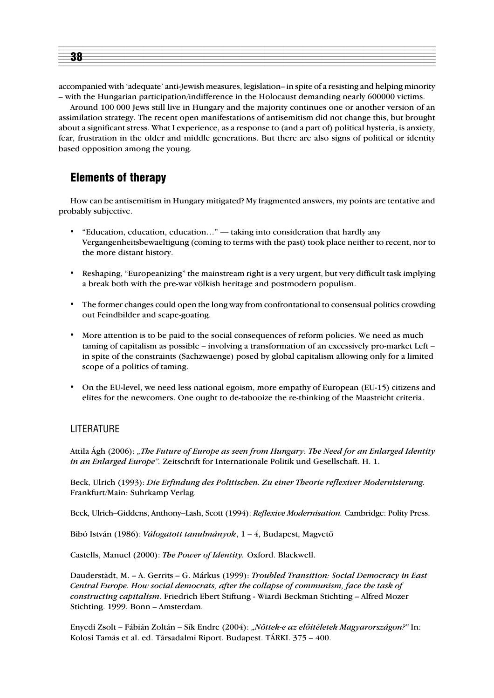| <b>KX</b> |  |
|-----------|--|
|           |  |
|           |  |

accompanied with 'adequate' anti-Jewish measures, legislation– in spite of a resisting and helping minority – with the Hungarian participation/indifference in the Holocaust demanding nearly 600000 victims.

Around 100 000 Jews still live in Hungary and the majority continues one or another version of an assimilation strategy. The recent open manifestations of antisemitism did not change this, but brought about a significant stress. What I experience, as a response to (and a part of) political hysteria, is anxiety, fear, frustration in the older and middle generations. But there are also signs of political or identity based opposition among the young.

# Elements of therapy

How can be antisemitism in Hungary mitigated? My fragmented answers, my points are tentative and probably subjective.

- "Education, education, education…" taking into consideration that hardly any Vergangenheitsbewaeltigung (coming to terms with the past) took place neither to recent, nor to the more distant history.
- Reshaping, "Europeanizing" the mainstream right is a very urgent, but very difficult task implying a break both with the pre-war völkish heritage and postmodern populism.
- The former changes could open the long way from confrontational to consensual politics crowding out Feindbilder and scape-goating.
- More attention is to be paid to the social consequences of reform policies. We need as much taming of capitalism as possible – involving a transformation of an excessively pro-market Left – in spite of the constraints (Sachzwaenge) posed by global capitalism allowing only for a limited scope of a politics of taming.
- On the EU-level, we need less national egoism, more empathy of European (EU-15) citizens and elites for the newcomers. One ought to de-tabooize the re-thinking of the Maastricht criteria.

#### LITERATURE

Attila Ágh (2006): *"The Future of Europe as seen from Hungary: The Need for an Enlarged Identity in an Enlarged Europe".* Zeitschrift for Internationale Politik und Gesellschaft. H. 1.

Beck, Ulrich (1993): *Die Erfindung des Politischen. Zu einer Theorie reflexiver Modernisierung.* Frankfurt/Main: Suhrkamp Verlag.

Beck, Ulrich–Giddens, Anthony–Lash, Scott (1994): *Reflexive Modernisation.* Cambridge: Polity Press.

Bibó István (1986): *Válogatott tanulmányok*, 1 – 4, Budapest, Magvetõ

Castells, Manuel (2000): *The Power of Identity.* Oxford. Blackwell.

Dauderstädt, M. – A. Gerrits – G. Márkus (1999): *Troubled Transition: Social Democracy in East Central Europe. How social democrats, after the collapse of communism, face the task of constructing capitalism*. Friedrich Ebert Stiftung - Wiardi Beckman Stichting – Alfred Mozer Stichting. 1999. Bonn – Amsterdam.

Enyedi Zsolt – Fábián Zoltán – Sík Endre (2004): *"Nõttek-e az elõitéletek Magyarországon?"* In: Kolosi Tamás et al. ed. Társadalmi Riport. Budapest. TÁRKI. 375 – 400.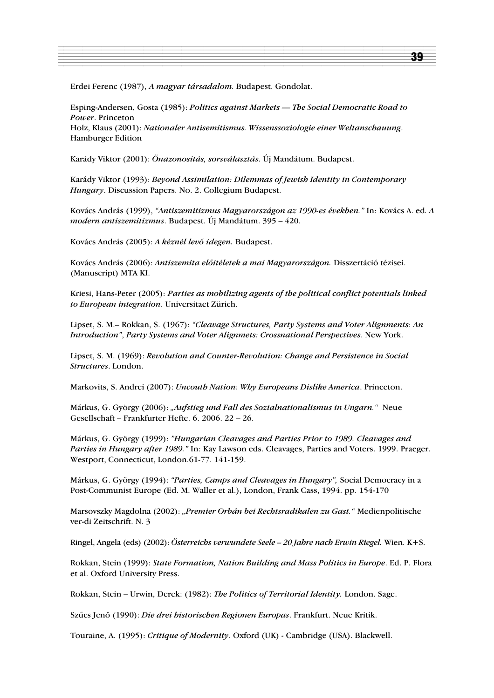Erdei Ferenc (1987), *A magyar társadalom*. Budapest. Gondolat.

Esping-Andersen, Gosta (1985): *Politics against Markets — The Social Democratic Road to Power*. Princeton Holz, Klaus (2001): *Nationaler Antisemitismus. Wissenssoziologie einer Weltanschauung*. Hamburger Edition

Karády Viktor (2001): *Önazonosítás, sorsválasztás*. Új Mandátum. Budapest.

Karády Viktor (1993): *Beyond Assimilation: Dilemmas of Jewish Identity in Contemporary Hungary*. Discussion Papers. No. 2. Collegium Budapest.

Kovács András (1999), *"Antiszemitizmus Magyarországon az 1990-es években."* In: Kovács A. ed*. A modern antiszemitizmus*. Budapest. Új Mandátum. 395 – 420.

Kovács András (2005): *A kéznél levõ idegen.* Budapest.

Kovács András (2006): *Antiszemita elõitéletek a mai Magyarországon.* Disszertáció tézisei. (Manuscript) MTA KI.

Kriesi, Hans-Peter (2005): *Parties as mobilizing agents of the political conflict potentials linked to European integration.* Universitaet Zürich.

Lipset, S. M.– Rokkan, S. (1967): *"Cleavage Structures, Party Systems and Voter Alignments: An Introduction"*, *Party Systems and Voter Alignmets: Crossnational Perspectives*. New York.

Lipset, S. M. (1969): *Revolution and Counter-Revolution: Change and Persistence in Social Structures*. London.

Markovits, S. Andrei (2007): *Uncouth Nation: Why Europeans Dislike America*. Princeton.

Márkus, G. György (2006): *"Aufstieg und Fall des Sozialnationalismus in Ungarn."* Neue Gesellschaft – Frankfurter Hefte. 6. 2006. 22 – 26.

Márkus, G. György (1999): *"Hungarian Cleavages and Parties Prior to 1989. Cleavages and Parties in Hungary after 1989."* In: Kay Lawson eds. Cleavages, Parties and Voters. 1999. Praeger. Westport, Connecticut, London.61-77. 141-159.

Márkus, G. György (1994): *"Parties, Camps and Cleavages in Hungary",* Social Democracy in a Post-Communist Europe (Ed. M. Waller et al.), London, Frank Cass, 1994. pp. 154-170

Marsovszky Magdolna (2002): *"Premier Orbán bei Rechtsradikalen zu Gast."* Medienpolitische ver-di Zeitschrift. N. 3

Ringel, Angela (eds) (2002): *Österreichs verwundete Seele – 20 Jahre nach Erwin Riegel.* Wien. K+S.

Rokkan, Stein (1999): *State Formation, Nation Building and Mass Politics in Europe*. Ed. P. Flora et al. Oxford University Press.

Rokkan, Stein – Urwin, Derek: (1982): *The Politics of Territorial Identity.* London. Sage.

Szûcs Jenõ (1990): *Die drei historischen Regionen Europas*. Frankfurt. Neue Kritik.

Touraine, A. (1995): *Critique of Modernity*. Oxford (UK) - Cambridge (USA). Blackwell.